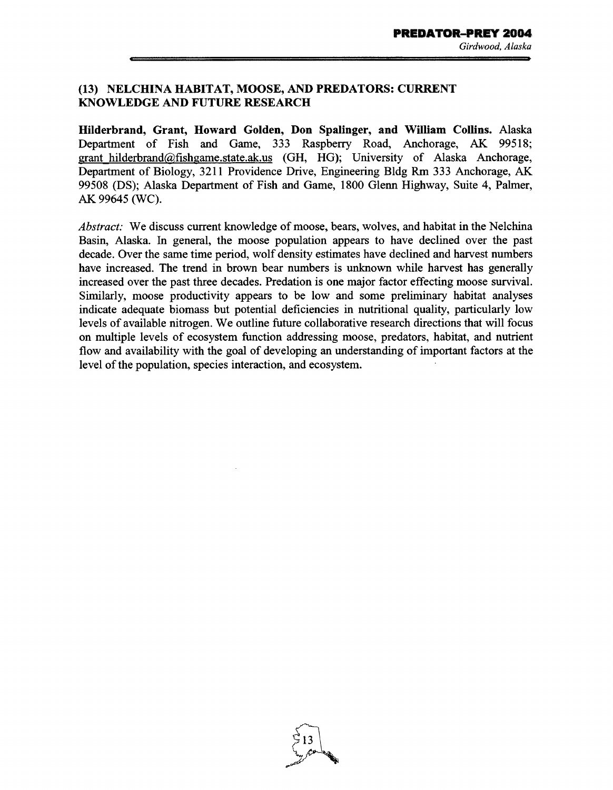## (13) NELCHINA HABITAT, MOOSE, AND PREDATORS: CURRENT KNOWLEDGE AND FUTURE RESEARCH

Hilderbrand, Grant, Howard Golden, Don Spalinger, and William Collins. Alaska Department of Fish and Game, 333 Raspberry Road, Anchorage, AK 99518; grant hilderbrand@fishgame.state.ak.us (GH, HG); University of Alaska Anchorage, Department of Biology, 3211 Providence Drive, Engineering Bldg Rm 333 Anchorage, AK 99508 (DS); Alaska Department of Fish and Game, 1800 Glenn Highway, Suite 4, Palmer, AK 99645 (WC).

*Abstract:* We discuss current knowledge of moose, bears, wolves, and habitat in the Nelchina Basin, Alaska. In general, the moose population appears to have declined over the past decade. Over the same time period, wolf density estimates have declined and harvest numbers have increased. The trend in brown bear numbers is unknown while harvest has generally increased over the past three decades. Predation is one major factor effecting moose survival. Similarly, moose productivity appears to be low and some preliminary habitat analyses indicate adequate biomass but potential deficiencies in nutritional quality, particularly low levels of available nitrogen. We outline future collaborative research directions that will focus on multiple levels of ecosystem function addressing moose, predators, habitat, and nutrient flow and availability with the goal of developing an understanding of important factors at the level of the population, species interaction, and ecosystem.